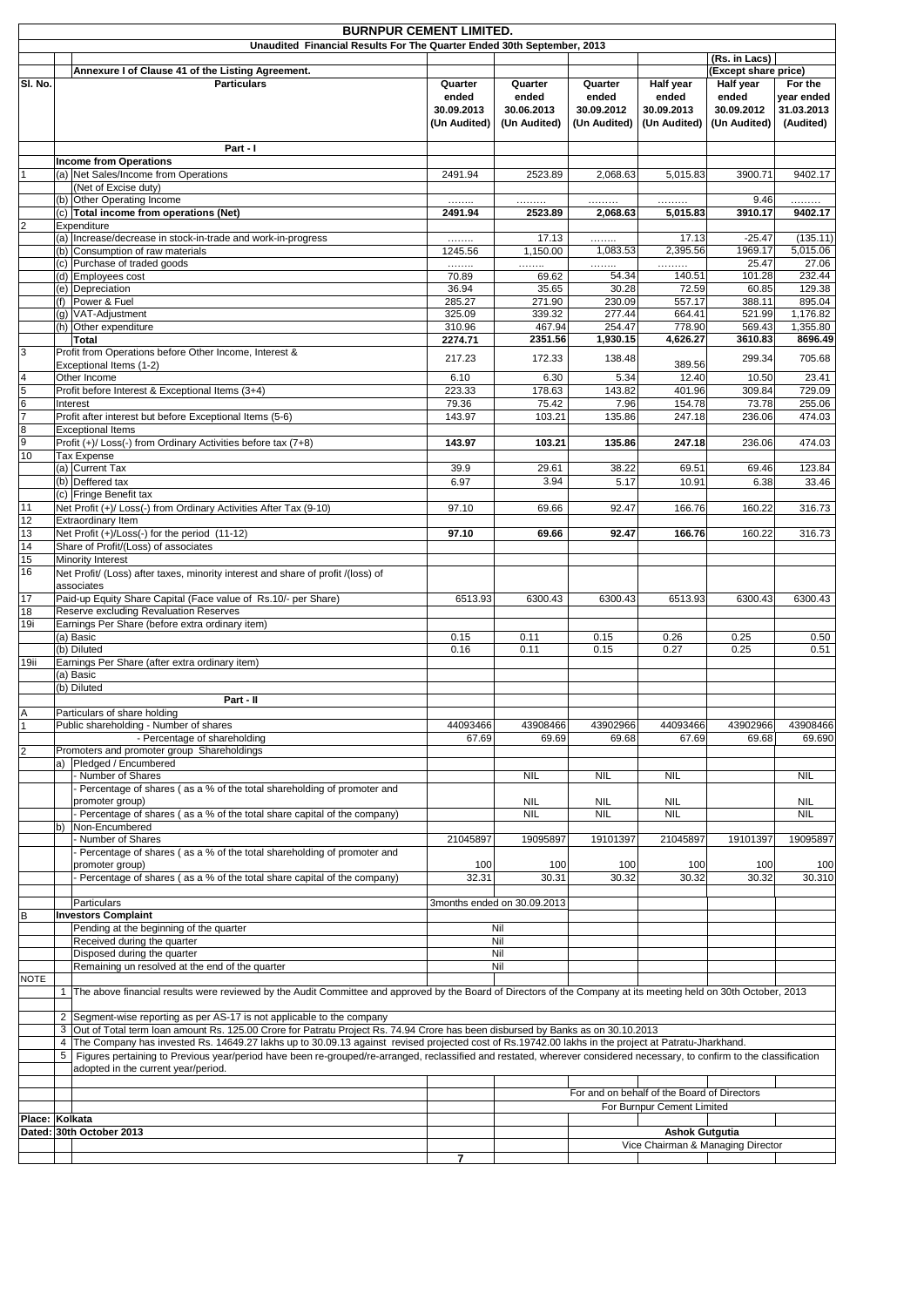|                  | <b>BURNPUR CEMENT LIMITED.</b> |                                                                                                                                                                         |                  |                             |                          |                                             |                      |                          |
|------------------|--------------------------------|-------------------------------------------------------------------------------------------------------------------------------------------------------------------------|------------------|-----------------------------|--------------------------|---------------------------------------------|----------------------|--------------------------|
|                  |                                | Unaudited Financial Results For The Quarter Ended 30th September, 2013                                                                                                  |                  |                             |                          |                                             |                      |                          |
|                  |                                |                                                                                                                                                                         |                  |                             |                          |                                             | (Rs. in Lacs)        |                          |
|                  |                                | Annexure I of Clause 41 of the Listing Agreement.                                                                                                                       |                  |                             |                          |                                             | (Except share price) |                          |
| SI. No.          |                                | <b>Particulars</b>                                                                                                                                                      | Quarter<br>ended | Quarter<br>ended            | Quarter<br>ended         | Half year                                   | Half year<br>ended   | For the                  |
|                  |                                |                                                                                                                                                                         | 30.09.2013       | 30.06.2013                  | 30.09.2012               | ended<br>30.09.2013                         | 30.09.2012           | year ended<br>31.03.2013 |
|                  |                                |                                                                                                                                                                         | (Un Audited)     | (Un Audited)                | (Un Audited)             | (Un Audited)                                | (Un Audited)         | (Audited)                |
|                  |                                |                                                                                                                                                                         |                  |                             |                          |                                             |                      |                          |
|                  |                                | Part - I                                                                                                                                                                |                  |                             |                          |                                             |                      |                          |
|                  |                                | <b>Income from Operations</b>                                                                                                                                           |                  |                             |                          |                                             |                      |                          |
|                  |                                | (a) Net Sales/Income from Operations                                                                                                                                    | 2491.94          | 2523.89                     | 2,068.63                 | 5,015.83                                    | 3900.71              | 9402.17                  |
|                  |                                | (Net of Excise duty)                                                                                                                                                    |                  |                             |                          |                                             |                      |                          |
|                  |                                | (b) Other Operating Income                                                                                                                                              | .                | .                           | .                        | .                                           | 9.46                 | .                        |
|                  |                                | (c) Total income from operations (Net)                                                                                                                                  | 2491.94          | 2523.89                     | 2,068.63                 | 5,015.83                                    | 3910.17              | 9402.17                  |
| $\overline{2}$   |                                | Expenditure                                                                                                                                                             |                  |                             |                          |                                             |                      |                          |
|                  |                                | (a) Increase/decrease in stock-in-trade and work-in-progress                                                                                                            | .                | 17.13                       | .                        | 17.13                                       | $-25.47$             | (135.11)                 |
|                  |                                | (b) Consumption of raw materials                                                                                                                                        | 1245.56          | 1,150.00                    | 1,083.53                 | 2,395.56                                    | 1969.17              | 5,015.06                 |
|                  |                                | (c) Purchase of traded goods                                                                                                                                            | .                | .                           | .<br>54.34               | .<br>140.51                                 | 25.47<br>101.28      | 27.06<br>232.44          |
|                  |                                | (d) Employees cost<br>(e) Depreciation                                                                                                                                  | 70.89<br>36.94   | 69.62<br>35.65              | 30.28                    | 72.59                                       | 60.85                | 129.38                   |
|                  |                                | (f) Power & Fuel                                                                                                                                                        | 285.27           | 271.90                      | 230.09                   | 557.17                                      | 388.11               | 895.04                   |
|                  |                                | (g) VAT-Adjustment                                                                                                                                                      | 325.09           | 339.32                      | 277.44                   | 664.41                                      | 521.99               | 1,176.82                 |
|                  |                                | (h) Other expenditure                                                                                                                                                   | 310.96           | 467.94                      | 254.47                   | 778.90                                      | 569.43               | 1,355.80                 |
|                  |                                | <b>Total</b>                                                                                                                                                            | 2274.71          | 2351.56                     | 1,930.15                 | 4,626.27                                    | 3610.83              | 8696.49                  |
| 3                |                                | Profit from Operations before Other Income, Interest &                                                                                                                  |                  |                             |                          |                                             |                      |                          |
|                  |                                | Exceptional Items (1-2)                                                                                                                                                 | 217.23           | 172.33                      | 138.48                   | 389.56                                      | 299.34               | 705.68                   |
| $\overline{4}$   |                                | Other Income                                                                                                                                                            | 6.10             | 6.30                        | 5.34                     | 12.40                                       | 10.50                | 23.41                    |
| 5                |                                | Profit before Interest & Exceptional Items (3+4)                                                                                                                        | 223.33           | 178.63                      | 143.82                   | 401.96                                      | 309.84               | 729.09                   |
| $\overline{6}$   |                                | Interest                                                                                                                                                                | 79.36            | 75.42                       | 7.96                     | 154.78                                      | 73.78                | 255.06                   |
| $\overline{7}$   |                                | Profit after interest but before Exceptional Items (5-6)                                                                                                                | 143.97           | 103.21                      | 135.86                   | 247.18                                      | 236.06               | 474.03                   |
| $\boldsymbol{8}$ |                                | <b>Exceptional Items</b>                                                                                                                                                |                  |                             |                          |                                             |                      |                          |
| 9                |                                | Profit (+)/ Loss(-) from Ordinary Activities before tax (7+8)                                                                                                           | 143.97           | 103.21                      | 135.86                   | 247.18                                      | 236.06               | 474.03                   |
| 10               |                                | Tax Expense<br>(a) Current Tax                                                                                                                                          | 39.9             | 29.61                       | 38.22                    | 69.51                                       | 69.46                | 123.84                   |
|                  |                                | (b) Deffered tax                                                                                                                                                        | 6.97             | 3.94                        | 5.17                     | 10.91                                       | 6.38                 | 33.46                    |
|                  |                                | (c) Fringe Benefit tax                                                                                                                                                  |                  |                             |                          |                                             |                      |                          |
| 11               |                                | Net Profit (+)/ Loss(-) from Ordinary Activities After Tax (9-10)                                                                                                       | 97.10            | 69.66                       | 92.47                    | 166.76                                      | 160.22               | 316.73                   |
| 12               |                                | <b>Extraordinary Item</b>                                                                                                                                               |                  |                             |                          |                                             |                      |                          |
| 13               |                                | Net Profit (+)/Loss(-) for the period (11-12)                                                                                                                           | 97.10            | 69.66                       | 92.47                    | 166.76                                      | 160.22               | 316.73                   |
| 14               |                                | Share of Profit/(Loss) of associates                                                                                                                                    |                  |                             |                          |                                             |                      |                          |
| 15               |                                | Minority Interest                                                                                                                                                       |                  |                             |                          |                                             |                      |                          |
| 16               |                                | Net Profit/ (Loss) after taxes, minority interest and share of profit /(loss) of                                                                                        |                  |                             |                          |                                             |                      |                          |
|                  |                                | associates                                                                                                                                                              |                  |                             |                          |                                             |                      |                          |
| 17               |                                | Paid-up Equity Share Capital (Face value of Rs.10/- per Share)                                                                                                          | 6513.93          | 6300.43                     | 6300.43                  | 6513.93                                     | 6300.43              | 6300.43                  |
| 18               |                                | <b>Reserve excluding Revaluation Reserves</b>                                                                                                                           |                  |                             |                          |                                             |                      |                          |
| 19i              |                                | Earnings Per Share (before extra ordinary item)                                                                                                                         |                  |                             |                          |                                             |                      |                          |
|                  |                                | (a) Basic                                                                                                                                                               | 0.15             | 0.11                        | 0.15                     | 0.26                                        | 0.25                 | 0.50                     |
|                  |                                | (b) Diluted                                                                                                                                                             | 0.16             | 0.11                        | 0.15                     | 0.27                                        | 0.25                 | 0.51                     |
| 19ii             |                                | Earnings Per Share (after extra ordinary item)<br>(a) Basic                                                                                                             |                  |                             |                          |                                             |                      |                          |
|                  |                                | (b) Diluted                                                                                                                                                             |                  |                             |                          |                                             |                      |                          |
|                  |                                | Part - II                                                                                                                                                               |                  |                             |                          |                                             |                      |                          |
| A                |                                | Particulars of share holding                                                                                                                                            |                  |                             |                          |                                             |                      |                          |
|                  |                                | Public shareholding - Number of shares                                                                                                                                  | 44093466         | 43908466                    | 43902966                 | 44093466                                    | 43902966             | 43908466                 |
|                  |                                | - Percentage of shareholding                                                                                                                                            | 67.69            | 69.69                       | 69.68                    | 67.69                                       | 69.68                | 69.690                   |
| $\overline{2}$   |                                | Promoters and promoter group Shareholdings                                                                                                                              |                  |                             |                          |                                             |                      |                          |
|                  |                                | a) Pledged / Encumbered                                                                                                                                                 |                  |                             |                          |                                             |                      |                          |
|                  |                                | - Number of Shares                                                                                                                                                      |                  | <b>NIL</b>                  | <b>NIL</b>               | <b>NIL</b>                                  |                      | <b>NIL</b>               |
|                  |                                | - Percentage of shares (as a % of the total shareholding of promoter and                                                                                                |                  |                             |                          |                                             |                      |                          |
|                  |                                | promoter group)<br>- Percentage of shares (as a % of the total share capital of the company)                                                                            |                  | <b>NIL</b><br><b>NIL</b>    | <b>NIL</b><br><b>NIL</b> | <b>NIL</b><br><b>NIL</b>                    |                      | <b>NIL</b><br><b>NIL</b> |
|                  |                                | b)   Non-Encumbered                                                                                                                                                     |                  |                             |                          |                                             |                      |                          |
|                  |                                | Number of Shares                                                                                                                                                        | 21045897         | 19095897                    | 19101397                 | 21045897                                    | 19101397             | 19095897                 |
|                  |                                | Percentage of shares (as a % of the total shareholding of promoter and                                                                                                  |                  |                             |                          |                                             |                      |                          |
|                  |                                | promoter group)                                                                                                                                                         | 100              | 100                         | 100                      | 100                                         | 100                  | 100                      |
|                  |                                | Percentage of shares (as a % of the total share capital of the company)                                                                                                 | 32.31            | 30.31                       | 30.32                    | 30.32                                       | 30.32                | 30.310                   |
|                  |                                |                                                                                                                                                                         |                  |                             |                          |                                             |                      |                          |
|                  |                                | Particulars                                                                                                                                                             |                  | 3months ended on 30.09.2013 |                          |                                             |                      |                          |
| B                |                                | <b>Investors Complaint</b>                                                                                                                                              |                  |                             |                          |                                             |                      |                          |
|                  |                                | Pending at the beginning of the quarter                                                                                                                                 |                  | Nil<br>Nil                  |                          |                                             |                      |                          |
|                  |                                | Received during the quarter<br>Disposed during the quarter                                                                                                              |                  | Nil                         |                          |                                             |                      |                          |
|                  |                                | Remaining un resolved at the end of the quarter                                                                                                                         |                  | Nil                         |                          |                                             |                      |                          |
| <b>NOTE</b>      |                                |                                                                                                                                                                         |                  |                             |                          |                                             |                      |                          |
|                  | $\mathbf{1}$                   | The above financial results were reviewed by the Audit Committee and approved by the Board of Directors of the Company at its meeting held on 30th October, 2013        |                  |                             |                          |                                             |                      |                          |
|                  |                                |                                                                                                                                                                         |                  |                             |                          |                                             |                      |                          |
|                  |                                | 2 Segment-wise reporting as per AS-17 is not applicable to the company                                                                                                  |                  |                             |                          |                                             |                      |                          |
|                  |                                | 3 Out of Total term Ioan amount Rs. 125.00 Crore for Patratu Project Rs. 74.94 Crore has been disbursed by Banks as on 30.10.2013                                       |                  |                             |                          |                                             |                      |                          |
|                  | $\overline{4}$                 | The Company has invested Rs. 14649.27 lakhs up to 30.09.13 against revised projected cost of Rs.19742.00 lakhs in the project at Patratu-Jharkhand.                     |                  |                             |                          |                                             |                      |                          |
|                  | 5 <sup>5</sup>                 | Figures pertaining to Previous year/period have been re-grouped/re-arranged, reclassified and restated, wherever considered necessary, to confirm to the classification |                  |                             |                          |                                             |                      |                          |
|                  |                                | adopted in the current year/period.                                                                                                                                     |                  |                             |                          |                                             |                      |                          |
|                  |                                |                                                                                                                                                                         |                  |                             |                          | For and on behalf of the Board of Directors |                      |                          |
|                  |                                |                                                                                                                                                                         |                  |                             |                          | For Burnpur Cement Limited                  |                      |                          |
| Place: Kolkata   |                                |                                                                                                                                                                         |                  |                             |                          |                                             |                      |                          |
|                  |                                | Dated: 30th October 2013                                                                                                                                                |                  |                             |                          | <b>Ashok Gutgutia</b>                       |                      |                          |
|                  |                                |                                                                                                                                                                         |                  |                             |                          | Vice Chairman & Managing Director           |                      |                          |
|                  |                                |                                                                                                                                                                         |                  |                             |                          |                                             |                      |                          |